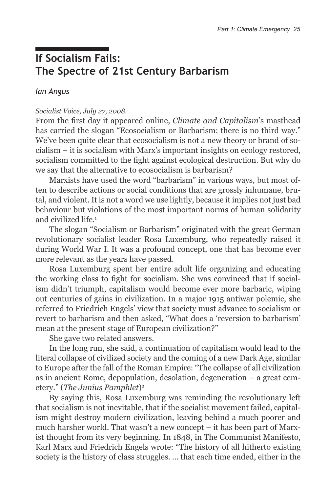# **If Socialism Fails: The Spectre of 21st Century Barbarism**

*Ian Angus*

#### *Socialist Voice, July 27, 2008.*

From the first day it appeared online, *Climate and Capitalism*'s masthead has carried the slogan "Ecosocialism or Barbarism: there is no third way." We've been quite clear that ecosocialism is not a new theory or brand of socialism – it is socialism with Marx's important insights on ecology restored, socialism committed to the fight against ecological destruction. But why do we say that the alternative to ecosocialism is barbarism?

Marxists have used the word "barbarism" in various ways, but most often to describe actions or social conditions that are grossly inhumane, brutal, and violent. It is not a word we use lightly, because it implies not just bad behaviour but violations of the most important norms of human solidarity and civilized life.1

The slogan "Socialism or Barbarism" originated with the great German revolutionary socialist leader Rosa Luxemburg, who repeatedly raised it during World War I. It was a profound concept, one that has become ever more relevant as the years have passed.

Rosa Luxemburg spent her entire adult life organizing and educating the working class to fight for socialism. She was convinced that if socialism didn't triumph, capitalism would become ever more barbaric, wiping out centuries of gains in civilization. In a major 1915 antiwar polemic, she referred to Friedrich Engels' view that society must advance to socialism or revert to barbarism and then asked, "What does a 'reversion to barbarism' mean at the present stage of European civilization?"

She gave two related answers.

In the long run, she said, a continuation of capitalism would lead to the literal collapse of civilized society and the coming of a new Dark Age, similar to Europe after the fall of the Roman Empire: "The collapse of all civilization as in ancient Rome, depopulation, desolation, degeneration – a great cemetery." (*The Junius Pamphlet*)2

By saying this, Rosa Luxemburg was reminding the revolutionary left that socialism is not inevitable, that if the socialist movement failed, capitalism might destroy modern civilization, leaving behind a much poorer and much harsher world. That wasn't a new concept – it has been part of Marxist thought from its very beginning. In 1848, in The Communist Manifesto, Karl Marx and Friedrich Engels wrote: "The history of all hitherto existing society is the history of class struggles. … that each time ended, either in the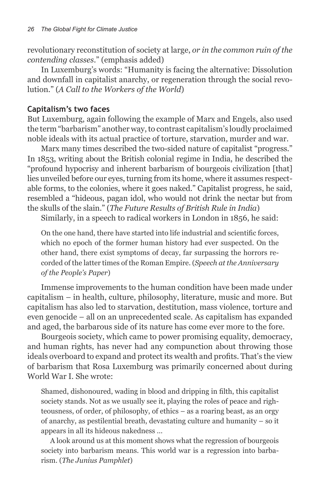revolutionary reconstitution of society at large, *or in the common ruin of the contending classes*." (emphasis added)

In Luxemburg's words: "Humanity is facing the alternative: Dissolution and downfall in capitalist anarchy, or regeneration through the social revolution." (*A Call to the Workers of the World*)

#### **Capitalism's two faces**

But Luxemburg, again following the example of Marx and Engels, also used the term "barbarism" another way, to contrast capitalism's loudly proclaimed noble ideals with its actual practice of torture, starvation, murder and war.

Marx many times described the two-sided nature of capitalist "progress." In 1853, writing about the British colonial regime in India, he described the "profound hypocrisy and inherent barbarism of bourgeois civilization [that] lies unveiled before our eyes, turning from its home, where it assumes respectable forms, to the colonies, where it goes naked." Capitalist progress, he said, resembled a "hideous, pagan idol, who would not drink the nectar but from the skulls of the slain." (*The Future Results of British Rule in India*)

Similarly, in a speech to radical workers in London in 1856, he said:

On the one hand, there have started into life industrial and scientific forces, which no epoch of the former human history had ever suspected. On the other hand, there exist symptoms of decay, far surpassing the horrors recorded of the latter times of the Roman Empire. (*Speech at the Anniversary of the People's Paper*)

Immense improvements to the human condition have been made under capitalism – in health, culture, philosophy, literature, music and more. But capitalism has also led to starvation, destitution, mass violence, torture and even genocide – all on an unprecedented scale. As capitalism has expanded and aged, the barbarous side of its nature has come ever more to the fore.

Bourgeois society, which came to power promising equality, democracy, and human rights, has never had any compunction about throwing those ideals overboard to expand and protect its wealth and profits. That's the view of barbarism that Rosa Luxemburg was primarily concerned about during World War I. She wrote:

Shamed, dishonoured, wading in blood and dripping in filth, this capitalist society stands. Not as we usually see it, playing the roles of peace and righteousness, of order, of philosophy, of ethics – as a roaring beast, as an orgy of anarchy, as pestilential breath, devastating culture and humanity – so it appears in all its hideous nakedness …

A look around us at this moment shows what the regression of bourgeois society into barbarism means. This world war is a regression into barbarism. (*The Junius Pamphlet*)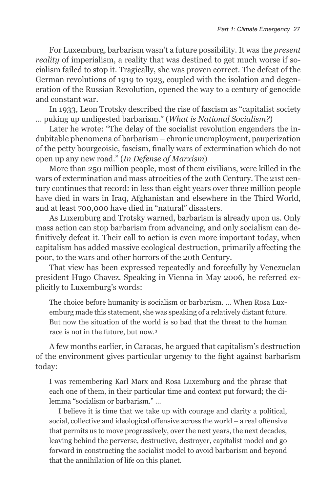For Luxemburg, barbarism wasn't a future possibility. It was the *present reality* of imperialism, a reality that was destined to get much worse if socialism failed to stop it. Tragically, she was proven correct. The defeat of the German revolutions of 1919 to 1923, coupled with the isolation and degeneration of the Russian Revolution, opened the way to a century of genocide and constant war.

In 1933, Leon Trotsky described the rise of fascism as "capitalist society … puking up undigested barbarism." (*What is National Socialism?*)

Later he wrote: "The delay of the socialist revolution engenders the indubitable phenomena of barbarism – chronic unemployment, pauperization of the petty bourgeoisie, fascism, finally wars of extermination which do not open up any new road." (*In Defense of Marxism*)

More than 250 million people, most of them civilians, were killed in the wars of extermination and mass atrocities of the 20th Century. The 21st century continues that record: in less than eight years over three million people have died in wars in Iraq, Afghanistan and elsewhere in the Third World, and at least 700,000 have died in "natural" disasters.

As Luxemburg and Trotsky warned, barbarism is already upon us. Only mass action can stop barbarism from advancing, and only socialism can definitively defeat it. Their call to action is even more important today, when capitalism has added massive ecological destruction, primarily affecting the poor, to the wars and other horrors of the 20th Century.

That view has been expressed repeatedly and forcefully by Venezuelan president Hugo Chavez. Speaking in Vienna in May 2006, he referred explicitly to Luxemburg's words:

The choice before humanity is socialism or barbarism. … When Rosa Luxemburg made this statement, she was speaking of a relatively distant future. But now the situation of the world is so bad that the threat to the human race is not in the future, but now.3

A few months earlier, in Caracas, he argued that capitalism's destruction of the environment gives particular urgency to the fight against barbarism today:

I was remembering Karl Marx and Rosa Luxemburg and the phrase that each one of them, in their particular time and context put forward; the dilemma "socialism or barbarism." …

I believe it is time that we take up with courage and clarity a political, social, collective and ideological offensive across the world – a real offensive that permits us to move progressively, over the next years, the next decades, leaving behind the perverse, destructive, destroyer, capitalist model and go forward in constructing the socialist model to avoid barbarism and beyond that the annihilation of life on this planet.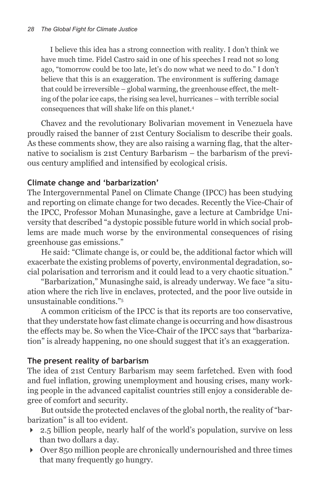I believe this idea has a strong connection with reality. I don't think we have much time. Fidel Castro said in one of his speeches I read not so long ago, "tomorrow could be too late, let's do now what we need to do." I don't believe that this is an exaggeration. The environment is suffering damage that could be irreversible – global warming, the greenhouse effect, the melting of the polar ice caps, the rising sea level, hurricanes – with terrible social consequences that will shake life on this planet.4

Chavez and the revolutionary Bolivarian movement in Venezuela have proudly raised the banner of 21st Century Socialism to describe their goals. As these comments show, they are also raising a warning flag, that the alternative to socialism is 21st Century Barbarism – the barbarism of the previous century amplified and intensified by ecological crisis.

# **Climate change and 'barbarization'**

The Intergovernmental Panel on Climate Change (IPCC) has been studying and reporting on climate change for two decades. Recently the Vice-Chair of the IPCC, Professor Mohan Munasinghe, gave a lecture at Cambridge University that described "a dystopic possible future world in which social problems are made much worse by the environmental consequences of rising greenhouse gas emissions."

He said: "Climate change is, or could be, the additional factor which will exacerbate the existing problems of poverty, environmental degradation, social polarisation and terrorism and it could lead to a very chaotic situation."

"Barbarization," Munasinghe said, is already underway. We face "a situation where the rich live in enclaves, protected, and the poor live outside in unsustainable conditions."5

A common criticism of the IPCC is that its reports are too conservative, that they understate how fast climate change is occurring and how disastrous the effects may be. So when the Vice-Chair of the IPCC says that "barbarization" is already happening, no one should suggest that it's an exaggeration.

# **The present reality of barbarism**

The idea of 21st Century Barbarism may seem farfetched. Even with food and fuel inflation, growing unemployment and housing crises, many working people in the advanced capitalist countries still enjoy a considerable degree of comfort and security.

But outside the protected enclaves of the global north, the reality of "barbarization" is all too evident.

- 2.5 billion people, nearly half of the world's population, survive on less than two dollars a day.
- $\rightarrow$  Over 850 million people are chronically undernourished and three times that many frequently go hungry.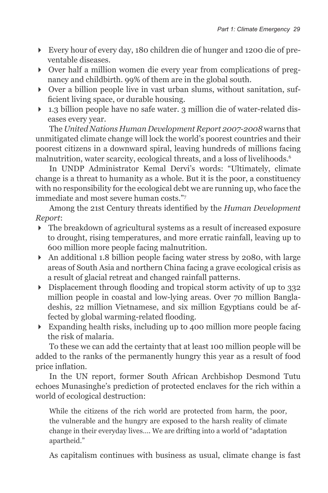- Every hour of every day, 180 children die of hunger and 1200 die of preventable diseases.
- Over half a million women die every year from complications of pregnancy and childbirth. 99% of them are in the global south.
- Over a billion people live in vast urban slums, without sanitation, sufficient living space, or durable housing.
- 1.3 billion people have no safe water. 3 million die of water-related diseases every year.

The *United Nations Human Development Report 2007-2008* warns that unmitigated climate change will lock the world's poorest countries and their poorest citizens in a downward spiral, leaving hundreds of millions facing malnutrition, water scarcity, ecological threats, and a loss of livelihoods.<sup>6</sup>

In UNDP Administrator Kemal Dervi's words: "Ultimately, climate change is a threat to humanity as a whole. But it is the poor, a constituency with no responsibility for the ecological debt we are running up, who face the immediate and most severe human costs."7

Among the 21st Century threats identified by the *Human Development Report*:

- The breakdown of agricultural systems as a result of increased exposure to drought, rising temperatures, and more erratic rainfall, leaving up to 600 million more people facing malnutrition.
- An additional 1.8 billion people facing water stress by 2080, with large areas of South Asia and northern China facing a grave ecological crisis as a result of glacial retreat and changed rainfall patterns.
- Displacement through flooding and tropical storm activity of up to 332 million people in coastal and low-lying areas. Over 70 million Bangladeshis, 22 million Vietnamese, and six million Egyptians could be affected by global warming-related flooding.
- Expanding health risks, including up to 400 million more people facing the risk of malaria.

To these we can add the certainty that at least 100 million people will be added to the ranks of the permanently hungry this year as a result of food price inflation.

In the UN report, former South African Archbishop Desmond Tutu echoes Munasinghe's prediction of protected enclaves for the rich within a world of ecological destruction:

While the citizens of the rich world are protected from harm, the poor, the vulnerable and the hungry are exposed to the harsh reality of climate change in their everyday lives…. We are drifting into a world of "adaptation apartheid."

As capitalism continues with business as usual, climate change is fast